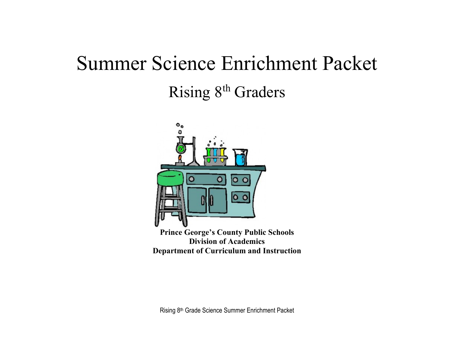# Summer Science Enrichment Packet Rising 8<sup>th</sup> Graders



Rising 8th Grade Science Summer Enrichment Packet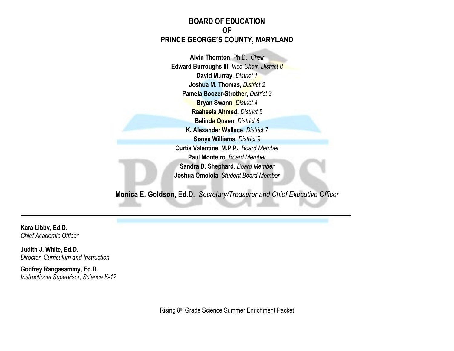#### **BOARD OF EDUCATION OF PRINCE GEORGE'S COUNTY, MARYLAND**

**Alvin Thornton**, Ph.D., *Chair* **Edward Burroughs III,** *Vice-Chair, District 8* **David Murray**, *District 1* **Joshua M. Thomas**, *District 2* **Pamela Boozer-Strother**, *District 3* **Bryan Swann**, *District 4* **Raaheela Ahmed,** *District 5* **Belinda Queen,** *District 6* **K. Alexander Wallace**, *District 7* **Sonya Williams**, *District 9* **Curtis Valentine, M.P.P.**, *Board Member* **Paul Monteiro***, Board Member* **Sandra D. Shephard***, Board Member* **Joshua Omolola**, *Student Board Member*

**Monica E. Goldson, Ed.D.**, *Secretary/Treasurer and Chief Executive Officer*

**Kara Libby, Ed.D.** *Chief Academic Officer*

**Judith J. White, Ed.D.** *Director, Curriculum and Instruction*

**Godfrey Rangasammy, Ed.D.** *Instructional Supervisor, Science K-12*

Rising 8th Grade Science Summer Enrichment Packet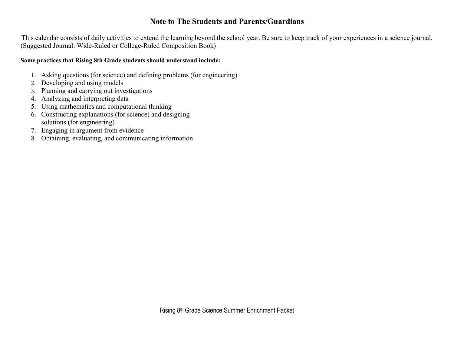### **Note to The Students and Parents/Guardians**

This calendar consists of daily activities to extend the learning beyond the school year. Be sure to keep track of your experiences in a science journal. (Suggested Journal: Wide-Ruled or College-Ruled Composition Book)

#### **Some practices that Rising 8th Grade students should understand include:**

- 1. Asking questions (for science) and defining problems (for engineering)
- 2. Developing and using models
- 3. Planning and carrying out investigations
- 4. Analyzing and interpreting data
- 5. Using mathematics and computational thinking
- 6. Constructing explanations (for science) and designing solutions (for engineering)
- 7. Engaging in argument from evidence
- 8. Obtaining, evaluating, and communicating information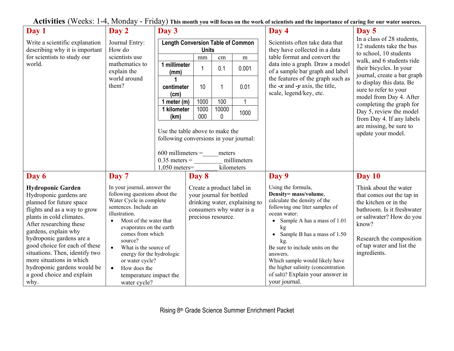**Activities** (Weeks: 1-4, Monday - Friday) **This month you will focus on the work of scientists and the importance of caring for our water sources.**

| Day 1                                                                                                                                                                                                                                                                                                                                                                                        | Day 2                                                                                                                                                                                                                                                                                                                                                                              | Day 3                                                                                                                                                                         |                                                                                                                                          |            |             | Day 4                                                                                                                                                                                                                                                                                                                                                                                             | Day 5                                                                                                                                                                                                                   |
|----------------------------------------------------------------------------------------------------------------------------------------------------------------------------------------------------------------------------------------------------------------------------------------------------------------------------------------------------------------------------------------------|------------------------------------------------------------------------------------------------------------------------------------------------------------------------------------------------------------------------------------------------------------------------------------------------------------------------------------------------------------------------------------|-------------------------------------------------------------------------------------------------------------------------------------------------------------------------------|------------------------------------------------------------------------------------------------------------------------------------------|------------|-------------|---------------------------------------------------------------------------------------------------------------------------------------------------------------------------------------------------------------------------------------------------------------------------------------------------------------------------------------------------------------------------------------------------|-------------------------------------------------------------------------------------------------------------------------------------------------------------------------------------------------------------------------|
| Write a scientific explanation<br>describing why it is important<br>for scientists to study our<br>world.                                                                                                                                                                                                                                                                                    | Journal Entry:<br>How do<br>scientists use<br>mathematics to<br>explain the<br>world around<br>them?                                                                                                                                                                                                                                                                               | <b>Length Conversion Table of Common</b><br><b>Units</b>                                                                                                                      |                                                                                                                                          |            |             | Scientists often take data that<br>they have collected in a data                                                                                                                                                                                                                                                                                                                                  | In a class of 28 students,<br>12 students take the bus<br>to school, 10 students                                                                                                                                        |
|                                                                                                                                                                                                                                                                                                                                                                                              |                                                                                                                                                                                                                                                                                                                                                                                    |                                                                                                                                                                               | mm                                                                                                                                       | cm         | m           | table format and convert the<br>data into a graph. Draw a model<br>of a sample bar graph and label<br>the features of the graph such as<br>the $-x$ and $-y$ axis, the title,<br>scale, legend/key, etc.                                                                                                                                                                                          | walk, and 6 students ride<br>their bicycles. In your<br>journal, create a bar graph<br>to display this data. Be<br>sure to refer to your<br>model from Day 4. After                                                     |
|                                                                                                                                                                                                                                                                                                                                                                                              |                                                                                                                                                                                                                                                                                                                                                                                    | 1 millimeter<br>(mm)                                                                                                                                                          | $\mathbf 1$                                                                                                                              | 0.1        | 0.001       |                                                                                                                                                                                                                                                                                                                                                                                                   |                                                                                                                                                                                                                         |
|                                                                                                                                                                                                                                                                                                                                                                                              |                                                                                                                                                                                                                                                                                                                                                                                    | centimeter<br>(cm)                                                                                                                                                            | 10                                                                                                                                       |            | 0.01        |                                                                                                                                                                                                                                                                                                                                                                                                   |                                                                                                                                                                                                                         |
|                                                                                                                                                                                                                                                                                                                                                                                              |                                                                                                                                                                                                                                                                                                                                                                                    | 1 meter $(m)$                                                                                                                                                                 | 1000                                                                                                                                     | 100        | $\mathbf 1$ |                                                                                                                                                                                                                                                                                                                                                                                                   | completing the graph for                                                                                                                                                                                                |
|                                                                                                                                                                                                                                                                                                                                                                                              |                                                                                                                                                                                                                                                                                                                                                                                    | 1 kilometer<br>(km)                                                                                                                                                           | 1000<br>000                                                                                                                              | 10000<br>0 | 1000        |                                                                                                                                                                                                                                                                                                                                                                                                   | Day 5, review the model<br>from Day 4. If any labels                                                                                                                                                                    |
|                                                                                                                                                                                                                                                                                                                                                                                              |                                                                                                                                                                                                                                                                                                                                                                                    | Use the table above to make the<br>following conversions in your journal:<br>$600$ millimeters =<br>meters<br>$0.35$ meters =<br>millimeters<br>kilometers<br>$1,050$ meters= |                                                                                                                                          |            |             |                                                                                                                                                                                                                                                                                                                                                                                                   | are missing, be sure to<br>update your model.                                                                                                                                                                           |
| Day 6                                                                                                                                                                                                                                                                                                                                                                                        | Day 7                                                                                                                                                                                                                                                                                                                                                                              |                                                                                                                                                                               | Day 8                                                                                                                                    |            |             | Day 9                                                                                                                                                                                                                                                                                                                                                                                             | Day 10                                                                                                                                                                                                                  |
| <b>Hydroponic Garden</b><br>Hydroponic gardens are<br>planned for future space<br>flights and as a way to grow<br>plants in cold climates.<br>After researching these<br>gardens, explain why<br>hydroponic gardens are a<br>good choice for each of these<br>situations. Then, identify two<br>more situations in which<br>hydroponic gardens would be<br>a good choice and explain<br>why. | In your journal, answer the<br>following questions about the<br>Water Cycle in complete<br>sentences. Include an<br>illustration.<br>Most of the water that<br>evaporates on the earth<br>comes from which<br>source?<br>What is the source of<br>$\bullet$<br>energy for the hydrologic<br>or water cycle?<br>How does the<br>$\bullet$<br>temperature impact the<br>water cycle? |                                                                                                                                                                               | Create a product label in<br>your journal for bottled<br>drinking water, explaining to<br>consumers why water is a<br>precious resource. |            |             | Using the formula,<br>Density= mass/volume,<br>calculate the density of the<br>following one liter samples of<br>ocean water:<br>Sample A has a mass of 1.01<br>kg<br>Sample B has a mass of 1.50<br>$\bullet$<br>kg.<br>Be sure to include units on the<br>answers.<br>Which sample would likely have<br>the higher salinity (concentration<br>of salt)? Explain your answer in<br>your journal. | Think about the water<br>that comes out the tap in<br>the kitchen or in the<br>bathroom. Is it freshwater<br>or saltwater? How do you<br>know?<br>Research the composition<br>of tap water and list the<br>ingredients. |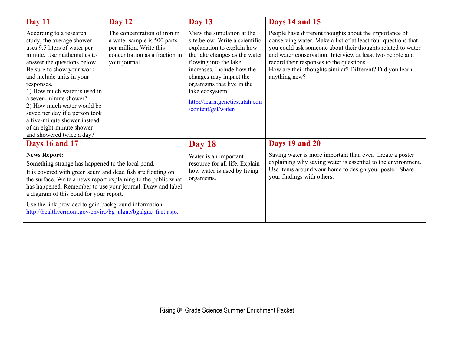| Day 11                                                                                                                                                                                                                                                                                                                                                                                                                                        | <b>Day 12</b>                                                                                                                             | <b>Day 13</b>                                                                                                                                                                                                                                                                                                          | Days 14 and 15                                                                                                                                                                                                                                                                                                                                                               |  |
|-----------------------------------------------------------------------------------------------------------------------------------------------------------------------------------------------------------------------------------------------------------------------------------------------------------------------------------------------------------------------------------------------------------------------------------------------|-------------------------------------------------------------------------------------------------------------------------------------------|------------------------------------------------------------------------------------------------------------------------------------------------------------------------------------------------------------------------------------------------------------------------------------------------------------------------|------------------------------------------------------------------------------------------------------------------------------------------------------------------------------------------------------------------------------------------------------------------------------------------------------------------------------------------------------------------------------|--|
| According to a research<br>study, the average shower<br>uses 9.5 liters of water per<br>minute. Use mathematics to<br>answer the questions below.<br>Be sure to show your work<br>and include units in your<br>responses.<br>1) How much water is used in<br>a seven-minute shower?<br>2) How much water would be<br>saved per day if a person took<br>a five-minute shower instead<br>of an eight-minute shower<br>and showered twice a day? | The concentration of iron in<br>a water sample is 500 parts<br>per million. Write this<br>concentration as a fraction in<br>your journal. | View the simulation at the<br>site below. Write a scientific<br>explanation to explain how<br>the lake changes as the water<br>flowing into the lake<br>increases. Include how the<br>changes may impact the<br>organisms that live in the<br>lake ecosystem.<br>http://learn.genetics.utah.edu<br>/content/gsl/water/ | People have different thoughts about the importance of<br>conserving water. Make a list of at least four questions that<br>you could ask someone about their thoughts related to water<br>and water conservation. Interview at least two people and<br>record their responses to the questions.<br>How are their thoughts similar? Different? Did you learn<br>anything new? |  |
| <b>Days 16 and 17</b>                                                                                                                                                                                                                                                                                                                                                                                                                         |                                                                                                                                           | <b>Day 18</b>                                                                                                                                                                                                                                                                                                          | Days 19 and 20                                                                                                                                                                                                                                                                                                                                                               |  |
| <b>News Report:</b><br>Something strange has happened to the local pond.<br>It is covered with green scum and dead fish are floating on<br>the surface. Write a news report explaining to the public what<br>has happened. Remember to use your journal. Draw and label<br>a diagram of this pond for your report.<br>Use the link provided to gain background information:<br>http://healthvermont.gov/enviro/bg algae/bgalgae fact.aspx.    |                                                                                                                                           | Water is an important<br>resource for all life. Explain<br>how water is used by living<br>organisms.                                                                                                                                                                                                                   | Saving water is more important than ever. Create a poster<br>explaining why saving water is essential to the environment.<br>Use items around your home to design your poster. Share<br>your findings with others.                                                                                                                                                           |  |